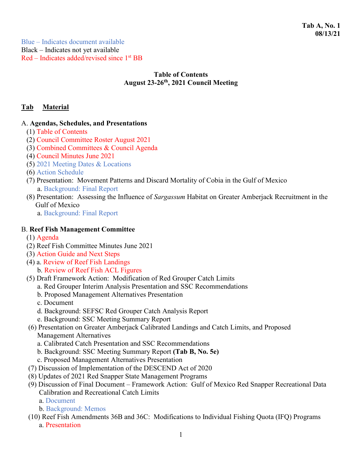Blue – Indicates document available Black – Indicates not yet available Red – Indicates added/revised since 1st BB

### **Table of Contents August 23-26th, 2021 Council Meeting**

# **Tab Material**

#### A. **Agendas, Schedules, and Presentations**

- (1) Table of Contents
- (2) Council Committee Roster August 2021
- (3) Combined Committees & Council Agenda
- (4) Council Minutes June 2021
- (5) 2021 Meeting Dates & Locations
- (6) Action Schedule
- (7) Presentation: Movement Patterns and Discard Mortality of Cobia in the Gulf of Mexico a. Background: Final Report
- (8) Presentation: Assessing the Influence of *Sargassum* Habitat on Greater Amberjack Recruitment in the Gulf of Mexico
	- a. Background: Final Report

### B. **Reef Fish Management Committee**

- (1) Agenda
- (2) Reef Fish Committee Minutes June 2021
- (3) Action Guide and Next Steps
- (4) a. Review of Reef Fish Landings
	- b. Review of Reef Fish ACL Figures
- (5) Draft Framework Action: Modification of Red Grouper Catch Limits
	- a. Red Grouper Interim Analysis Presentation and SSC Recommendations
	- b. Proposed Management Alternatives Presentation
	- c. Document
	- d. Background: SEFSC Red Grouper Catch Analysis Report
	- e. Background: SSC Meeting Summary Report
- (6) Presentation on Greater Amberjack Calibrated Landings and Catch Limits, and Proposed Management Alternatives
	- a. Calibrated Catch Presentation and SSC Recommendations
	- b. Background: SSC Meeting Summary Report **(Tab B, No. 5e)**
	- c. Proposed Management Alternatives Presentation
- (7) Discussion of Implementation of the DESCEND Act of 2020
- (8) Updates of 2021 Red Snapper State Management Programs
- (9) Discussion of Final Document Framework Action: Gulf of Mexico Red Snapper Recreational Data Calibration and Recreational Catch Limits
	- a. Document
	- b. Background: Memos
- (10) Reef Fish Amendments 36B and 36C: Modifications to Individual Fishing Quota (IFQ) Programs
	- a. Presentation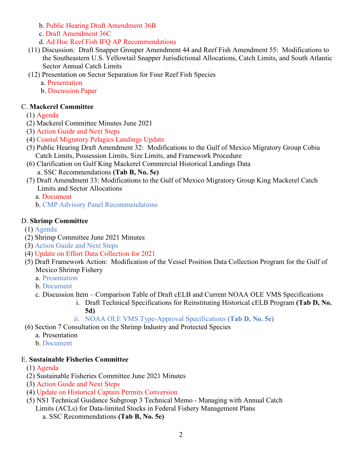b. Public Hearing Draft Amendment 36B

- c. Draft Amendment 36C
- d. Ad Hoc Reef Fish IFQ AP Recommendations
- (11) Discussion: Draft Snapper Grouper Amendment 44 and Reef Fish Amendment 55: Modifications to the Southeastern U.S. Yellowtail Snapper Jurisdictional Allocations, Catch Limits, and South Atlantic Sector Annual Catch Limits
- (12) Presentation on Sector Separation for Four Reef Fish Species
	- a. Presentation
	- b. Discussion Paper

# C. **Mackerel Committee**

- (1) Agenda
- (2) Mackerel Committee Minutes June 2021
- (3) Action Guide and Next Steps
- (4) Coastal Migratory Pelagics Landings Update
- (5) Public Hearing Draft Amendment 32: Modifications to the Gulf of Mexico Migratory Group Cobia Catch Limits, Possession Limits, Size Limits, and Framework Procedure
- (6) Clarification on Gulf King Mackerel Commercial Historical Landings Data
- a. SSC Recommendations **(Tab B, No. 5e)**
- (7) Draft Amendment 33: Modifications to the Gulf of Mexico Migratory Group King Mackerel Catch Limits and Sector Allocations
	- a. Document
	- b. CMP Advisory Panel Recommendations

# D. **Shrimp Committee**

- (1) Agenda
- (2) Shrimp Committee June 2021 Minutes
- (3) Action Guide and Next Steps
- (4) Update on Effort Data Collection for 2021
- (5) Draft Framework Action: Modification of the Vessel Position Data Collection Program for the Gulf of Mexico Shrimp Fishery
	- a. Presentation
	- b. Document
	- c. Discussion Item Comparison Table of Draft cELB and Current NOAA OLE VMS Specifications
		- i. Draft Technical Specifications for Reinstituting Historical cELB Program **(Tab D, No. 5d)**
		- ii. NOAA OLE VMS Type-Approval Specifications **(Tab D, No. 5e)**
- (6) Section 7 Consultation on the Shrimp Industry and Protected Species
	- a. Presentation
	- b. Document

# E. **Sustainable Fisheries Committee**

- (1) Agenda
- (2) Sustainable Fisheries Committee June 2021 Minutes
- (3) Action Guide and Next Steps
- (4) Update on Historical Captain Permits Conversion
- (5) NS1 Technical Guidance Subgroup 3 Technical Memo Managing with Annual Catch Limits (ACLs) for Data-limited Stocks in Federal Fishery Management Plans
	- a. SSC Recommendations **(Tab B, No. 5e)**